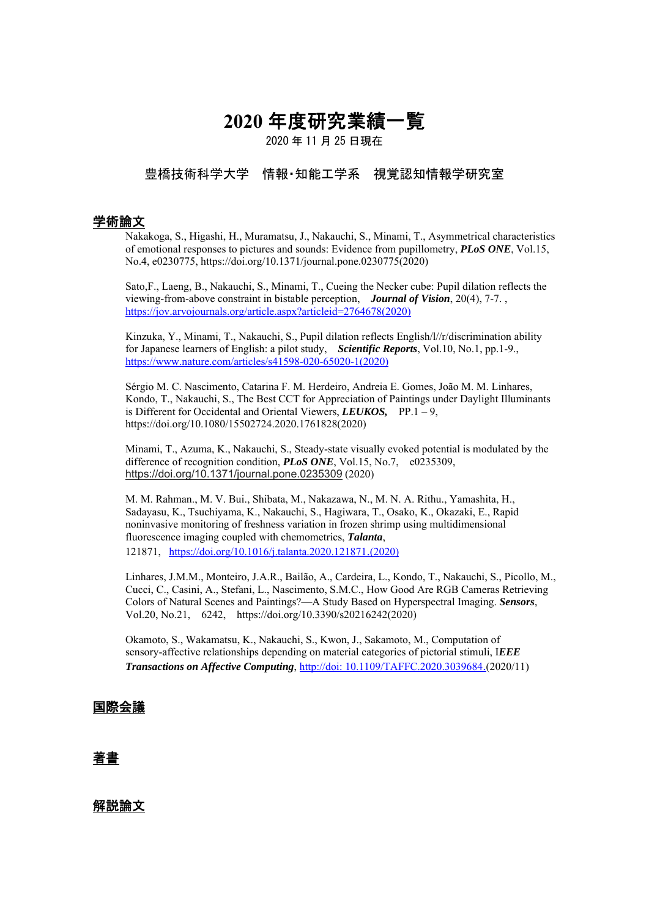# **2020** 年度研究業績一覧

2020 年 11 月 25 日現在

# 豊橋技術科学大学 情報・知能工学系 視覚認知情報学研究室

### 学術論文

Nakakoga, S., Higashi, H., Muramatsu, J., Nakauchi, S., Minami, T., Asymmetrical characteristics of emotional responses to pictures and sounds: Evidence from pupillometry, *PLoS ONE*, Vol.15, No.4, e0230775, https://doi.org/10.1371/journal.pone.0230775(2020)

Sato,F., Laeng, B., Nakauchi, S., Minami, T., Cueing the Necker cube: Pupil dilation reflects the viewing-from-above constraint in bistable perception, *Journal of Vision*, 20(4), 7-7. , https://jov.arvojournals.org/article.aspx?articleid=2764678(2020)

Kinzuka, Y., Minami, T., Nakauchi, S., Pupil dilation reflects English/l//r/discrimination ability for Japanese learners of English: a pilot study, *Scientific Reports*, Vol.10, No.1, pp.1-9., https://www.nature.com/articles/s41598-020-65020-1(2020)

Sérgio M. C. Nascimento, Catarina F. M. Herdeiro, Andreia E. Gomes, João M. M. Linhares, Kondo, T., Nakauchi, S., The Best CCT for Appreciation of Paintings under Daylight Illuminants is Different for Occidental and Oriental Viewers, *LEUKOS,* PP.1 – 9, https://doi.org/10.1080/15502724.2020.1761828(2020)

Minami, T., Azuma, K., Nakauchi, S., Steady-state visually evoked potential is modulated by the difference of recognition condition, *PLoS ONE*, Vol.15, No.7, e0235309, https://doi.org/10.1371/journal.pone.0235309 (2020)

M. M. Rahman., M. V. Bui., Shibata, M., Nakazawa, N., M. N. A. Rithu., Yamashita, H., Sadayasu, K., Tsuchiyama, K., Nakauchi, S., Hagiwara, T., Osako, K., Okazaki, E., Rapid noninvasive monitoring of freshness variation in frozen shrimp using multidimensional fluorescence imaging coupled with chemometrics, *Talanta*, 121871, https://doi.org/10.1016/j.talanta.2020.121871.(2020)

Linhares, J.M.M., Monteiro, J.A.R., Bailão, A., Cardeira, L., Kondo, T., Nakauchi, S., Picollo, M., Cucci, C., Casini, A., Stefani, L., Nascimento, S.M.C., How Good Are RGB Cameras Retrieving Colors of Natural Scenes and Paintings?—A Study Based on Hyperspectral Imaging. *Sensors*, Vol.20, No.21, 6242, https://doi.org/10.3390/s20216242(2020)

 Okamoto, S., Wakamatsu, K., Nakauchi, S., Kwon, J., Sakamoto, M., Computation of sensory-affective relationships depending on material categories of pictorial stimuli, I*EEE Transactions on Affective Computing*, http://doi: 10.1109/TAFFC.2020.3039684.(2020/11)

## 国際会議

## 著書

## 解説論文